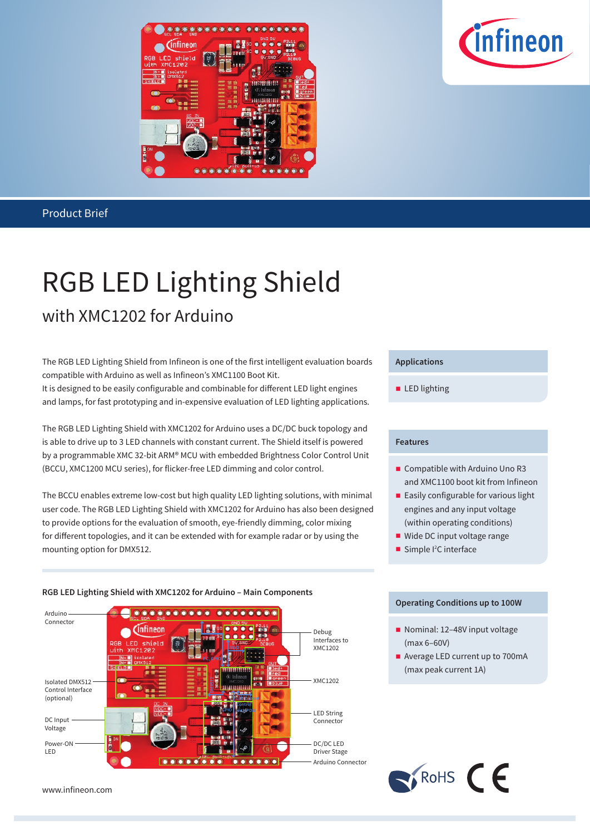



## RGB LED Lighting Shield with XMC1202 for Arduino

The RGB LED Lighting Shield from Infineon is one of the first intelligent evaluation boards compatible with Arduino as well as Infineon's XMC1100 Boot Kit.

It is designed to be easily configurable and combinable for different LED light engines and lamps, for fast prototyping and in-expensive evaluation of LED lighting applications.

The RGB LED Lighting Shield with XMC1202 for Arduino uses a DC/DC buck topology and is able to drive up to 3 LED channels with constant current. The Shield itself is powered by a programmable XMC 32-bit ARM® MCU with embedded Brightness Color Control Unit (BCCU, XMC1200 MCU series), for flicker-free LED dimming and color control.

The BCCU enables extreme low-cost but high quality LED lighting solutions, with minimal user code. The RGB LED Lighting Shield with XMC1202 for Arduino has also been designed to provide options for the evaluation of smooth, eye-friendly dimming, color mixing for different topologies, and it can be extended with for example radar or by using the mounting option for DMX512.

#### **RGB LED Lighting Shield with XMC1202 for Arduino – Main Components**



www.infineon.com

#### **Applications**

**LED** lighting

#### **Features**

- Compatible with Arduino Uno R3 and XMC1100 boot kit from Infineon
- **Easily configurable for various light** engines and any input voltage (within operating conditions)
- Wide DC input voltage range
- Simple  $l^2C$  interface

#### **Operating Conditions up to 100W**

Nominal: 12-48V input voltage (max 6–60V)

 $\bigcap$  RoHS  $\bigcap$ 

Average LED current up to 700mA (max peak current 1A)